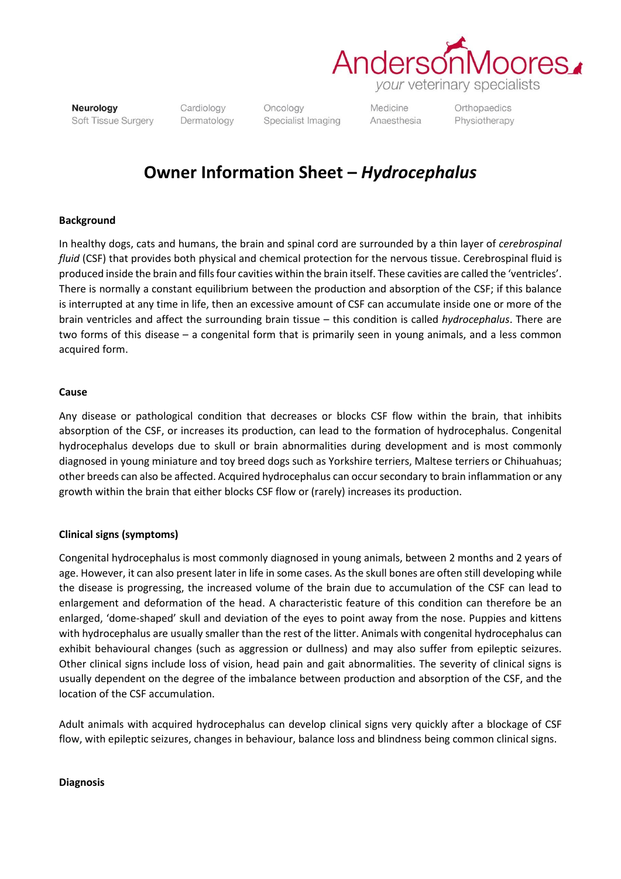

your veterinary specialists

Neurology Soft Tissue Surgery Cardiology Dermatology

Oncology Specialist Imaging Medicine Anaesthesia Orthopaedics Physiotherapy

## **Owner Information Sheet –** *Hydrocephalus*

### **Background**

In healthy dogs, cats and humans, the brain and spinal cord are surrounded by a thin layer of *cerebrospinal fluid* (CSF) that provides both physical and chemical protection for the nervous tissue. Cerebrospinal fluid is produced inside the brain and fills four cavities within the brain itself. These cavities are called the 'ventricles'. There is normally a constant equilibrium between the production and absorption of the CSF; if this balance is interrupted at any time in life, then an excessive amount of CSF can accumulate inside one or more of the brain ventricles and affect the surrounding brain tissue – this condition is called *hydrocephalus*. There are two forms of this disease – a congenital form that is primarily seen in young animals, and a less common acquired form.

### **Cause**

Any disease or pathological condition that decreases or blocks CSF flow within the brain, that inhibits absorption of the CSF, or increases its production, can lead to the formation of hydrocephalus. Congenital hydrocephalus develops due to skull or brain abnormalities during development and is most commonly diagnosed in young miniature and toy breed dogs such as Yorkshire terriers, Maltese terriers or Chihuahuas; other breeds can also be affected. Acquired hydrocephalus can occur secondary to brain inflammation or any growth within the brain that either blocks CSF flow or (rarely) increases its production.

### **Clinical signs (symptoms)**

Congenital hydrocephalus is most commonly diagnosed in young animals, between 2 months and 2 years of age. However, it can also present later in life in some cases. As the skull bones are often still developing while the disease is progressing, the increased volume of the brain due to accumulation of the CSF can lead to enlargement and deformation of the head. A characteristic feature of this condition can therefore be an enlarged, 'dome-shaped' skull and deviation of the eyes to point away from the nose. Puppies and kittens with hydrocephalus are usually smaller than the rest of the litter. Animals with congenital hydrocephalus can exhibit behavioural changes (such as aggression or dullness) and may also suffer from epileptic seizures. Other clinical signs include loss of vision, head pain and gait abnormalities. The severity of clinical signs is usually dependent on the degree of the imbalance between production and absorption of the CSF, and the location of the CSF accumulation.

Adult animals with acquired hydrocephalus can develop clinical signs very quickly after a blockage of CSF flow, with epileptic seizures, changes in behaviour, balance loss and blindness being common clinical signs.

### **Diagnosis**